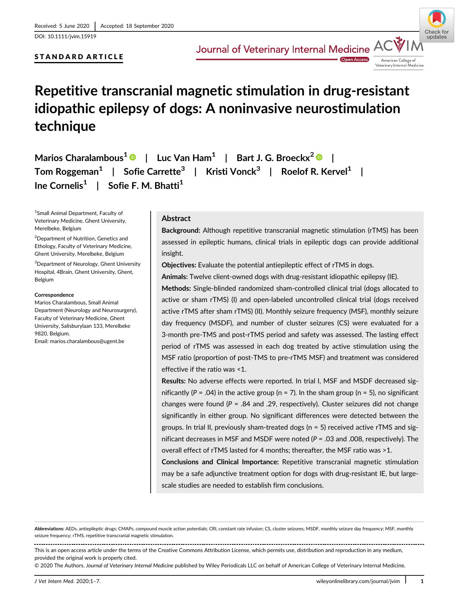DOI: 10.1111/jvim.15919

# STANDARD ARTICLE



**Open Access** Veterinary Internal Medicine

# Repetitive transcranial magnetic stimulation in drug-resistant idiopathic epilepsy of dogs: A noninvasive neurostimulation technique

Marios Charalambous<sup>1</sup>  $\bullet$  | Luc Van Ham<sup>1</sup> | Bart J. G. Broeckx<sup>2</sup>  $\bullet$  | Tom Roggeman<sup>1</sup> | Sofie Carrette<sup>3</sup> | Kristi Vonck<sup>3</sup> | Roelof R. Kervel<sup>1</sup> | Ine Cornelis<sup>1</sup> | Sofie F. M. Bhatti<sup>1</sup>

1 Small Animal Department, Faculty of Veterinary Medicine, Ghent University, Merelbeke, Belgium

2 Department of Nutrition, Genetics and Ethology, Faculty of Veterinary Medicine, Ghent University, Merelbeke, Belgium

3 Department of Neurology, Ghent University Hospital, 4Brain, Ghent University, Ghent, Belgium

#### Correspondence

Marios Charalambous, Small Animal Department (Neurology and Neurosurgery), Faculty of Veterinary Medicine, Ghent University, Salisburylaan 133, Merelbeke 9820, Belgium. Email: [marios.charalambous@ugent.be](mailto:marios.charalambous@ugent.be)

# Abstract

Background: Although repetitive transcranial magnetic stimulation (rTMS) has been assessed in epileptic humans, clinical trials in epileptic dogs can provide additional insight.

Objectives: Evaluate the potential antiepileptic effect of rTMS in dogs.

Animals: Twelve client-owned dogs with drug-resistant idiopathic epilepsy (IE).

Methods: Single-blinded randomized sham-controlled clinical trial (dogs allocated to active or sham rTMS) (I) and open-labeled uncontrolled clinical trial (dogs received active rTMS after sham rTMS) (II). Monthly seizure frequency (MSF), monthly seizure day frequency (MSDF), and number of cluster seizures (CS) were evaluated for a 3-month pre-TMS and post-rTMS period and safety was assessed. The lasting effect period of rTMS was assessed in each dog treated by active stimulation using the MSF ratio (proportion of post-TMS to pre-rTMS MSF) and treatment was considered effective if the ratio was <1.

Results: No adverse effects were reported. In trial I, MSF and MSDF decreased significantly ( $P = .04$ ) in the active group ( $n = 7$ ). In the sham group ( $n = 5$ ), no significant changes were found ( $P = 0.84$  and .29, respectively). Cluster seizures did not change significantly in either group. No significant differences were detected between the groups. In trial II, previously sham-treated dogs ( $n = 5$ ) received active rTMS and significant decreases in MSF and MSDF were noted  $(P = .03$  and .008, respectively). The overall effect of rTMS lasted for 4 months; thereafter, the MSF ratio was >1.

Conclusions and Clinical Importance: Repetitive transcranial magnetic stimulation may be a safe adjunctive treatment option for dogs with drug-resistant IE, but largescale studies are needed to establish firm conclusions.

Abbreviations: AEDs, antiepileptic drugs; CMAPs, compound muscle action potentials; CRI, constant rate infusion; CS, cluster seizures; MSDF, monthly seizure day frequency; MSF, monthly seizure frequency; rTMS, repetitive transcranial magnetic stimulation.

This is an open access article under the terms of the [Creative Commons Attribution](http://creativecommons.org/licenses/by/4.0/) License, which permits use, distribution and reproduction in any medium, provided the original work is properly cited.

<sup>© 2020</sup> The Authors. Journal of Veterinary Internal Medicine published by Wiley Periodicals LLC on behalf of American College of Veterinary Internal Medicine.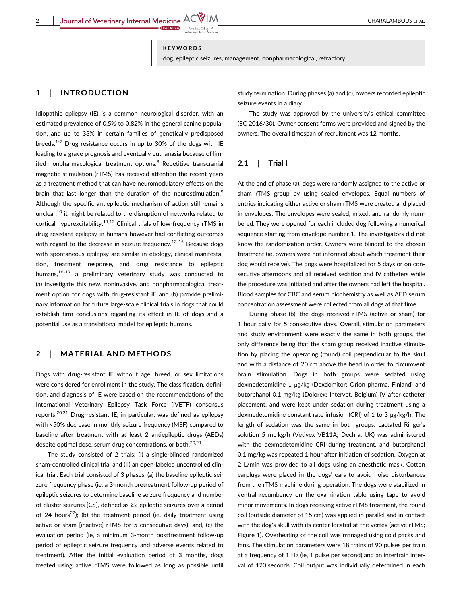#### KEYWORDS

dog, epileptic seizures, management, nonpharmacological, refractory

## 1 | INTRODUCTION

Idiopathic epilepsy (IE) is a common neurological disorder, with an estimated prevalence of 0.5% to 0.82% in the general canine population, and up to 33% in certain families of genetically predisposed breeds. $1-7$  Drug resistance occurs in up to 30% of the dogs with IE leading to a grave prognosis and eventually euthanasia because of limited nonpharmacological treatment options.<sup>8</sup> Repetitive transcranial magnetic stimulation (rTMS) has received attention the recent years as a treatment method that can have neuromodulatory effects on the brain that last longer than the duration of the neurostimulation.<sup>9</sup> Although the specific antiepileptic mechanism of action still remains unclear,<sup>10</sup> it might be related to the disruption of networks related to cortical hyperexcitability.<sup>11,12</sup> Clinical trials of low-frequency rTMS in drug-resistant epilepsy in humans however had conflicting outcomes with regard to the decrease in seizure frequency.<sup>13-15</sup> Because dogs with spontaneous epilepsy are similar in etiology, clinical manifestation, treatment response, and drug resistance to epileptic humans, $16-19$  a preliminary veterinary study was conducted to (a) investigate this new, noninvasive, and nonpharmacological treatment option for dogs with drug-resistant IE and (b) provide preliminary information for future large-scale clinical trials in dogs that could establish firm conclusions regarding its effect in IE of dogs and a potential use as a translational model for epileptic humans.

## 2 | MATERIAL AND METHODS

Dogs with drug-resistant IE without age, breed, or sex limitations were considered for enrollment in the study. The classification, definition, and diagnosis of IE were based on the recommendations of the International Veterinary Epilepsy Task Force (IVETF) consensus reports.20,21 Drug-resistant IE, in particular, was defined as epilepsy with <50% decrease in monthly seizure frequency (MSF) compared to baseline after treatment with at least 2 antiepileptic drugs (AEDs) despite optimal dose, serum drug concentrations, or both.<sup>20,21</sup>

The study consisted of 2 trials: (I) a single-blinded randomized sham-controlled clinical trial and (II) an open-labeled uncontrolled clinical trial. Each trial consisted of 3 phases: (a) the baseline epileptic seizure frequency phase (ie, a 3-month pretreatment follow-up period of epileptic seizures to determine baseline seizure frequency and number of cluster seizures [CS], defined as ≥2 epileptic seizures over a period of 24 hours<sup>22</sup>); (b) the treatment period (ie, daily treatment using active or sham [inactive] rTMS for 5 consecutive days); and, (c) the evaluation period (ie, a minimum 3-month posttreatment follow-up period of epileptic seizure frequency and adverse events related to treatment). After the initial evaluation period of 3 months, dogs treated using active rTMS were followed as long as possible until study termination. During phases (a) and (c), owners recorded epileptic seizure events in a diary.

The study was approved by the university's ethical committee (EC 2016/30). Owner consent forms were provided and signed by the owners. The overall timespan of recruitment was 12 months.

## $2.1$  | Trial I

At the end of phase (a), dogs were randomly assigned to the active or sham rTMS group by using sealed envelopes. Equal numbers of entries indicating either active or sham rTMS were created and placed in envelopes. The envelopes were sealed, mixed, and randomly numbered. They were opened for each included dog following a numerical sequence starting from envelope number 1. The investigators did not know the randomization order. Owners were blinded to the chosen treatment (ie, owners were not informed about which treatment their dog would receive). The dogs were hospitalized for 5 days or on consecutive afternoons and all received sedation and IV catheters while the procedure was initiated and after the owners had left the hospital. Blood samples for CBC and serum biochemistry as well as AED serum concentration assessment were collected from all dogs at that time.

During phase (b), the dogs received rTMS (active or sham) for 1 hour daily for 5 consecutive days. Overall, stimulation parameters and study environment were exactly the same in both groups, the only difference being that the sham group received inactive stimulation by placing the operating (round) coil perpendicular to the skull and with a distance of 20 cm above the head in order to circumvent brain stimulation. Dogs in both groups were sedated using dexmedetomidine 1 μg/kg (Dexdomitor; Orion pharma, Finland) and butorphanol 0.1 mg/kg (Dolorex; Intervet, Belgium) IV after catheter placement, and were kept under sedation during treatment using a dexmedetomidine constant rate infusion (CRI) of 1 to 3 μg/kg/h. The length of sedation was the same in both groups. Lactated Ringer's solution 5 mL kg/h (Vetivex VB11A; Dechra, UK) was administered with the dexmedetomidine CRI during treatment, and butorphanol 0.1 mg/kg was repeated 1 hour after initiation of sedation. Oxygen at 2 L/min was provided to all dogs using an anesthetic mask. Cotton earplugs were placed in the dogs' ears to avoid noise disturbances from the rTMS machine during operation. The dogs were stabilized in ventral recumbency on the examination table using tape to avoid minor movements. In dogs receiving active rTMS treatment, the round coil (outside diameter of 15 cm) was applied in parallel and in contact with the dog's skull with its center located at the vertex (active rTMS; Figure 1). Overheating of the coil was managed using cold packs and fans. The stimulation parameters were 18 trains of 90 pulses per train at a frequency of 1 Hz (ie, 1 pulse per second) and an intertrain interval of 120 seconds. Coil output was individually determined in each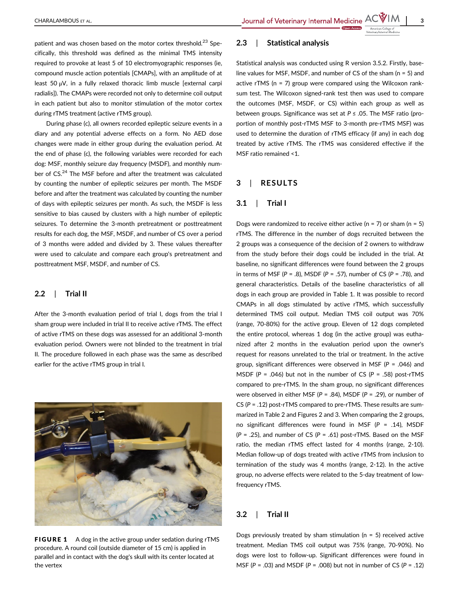patient and was chosen based on the motor cortex threshold.<sup>23</sup> Specifically, this threshold was defined as the minimal TMS intensity required to provoke at least 5 of 10 electromyographic responses (ie, compound muscle action potentials [CMAPs], with an amplitude of at least 50 μV, in a fully relaxed thoracic limb muscle [external carpi radialis]). The CMAPs were recorded not only to determine coil output in each patient but also to monitor stimulation of the motor cortex during rTMS treatment (active rTMS group).

During phase (c), all owners recorded epileptic seizure events in a diary and any potential adverse effects on a form. No AED dose changes were made in either group during the evaluation period. At the end of phase (c), the following variables were recorded for each dog: MSF, monthly seizure day frequency (MSDF), and monthly number of CS.24 The MSF before and after the treatment was calculated by counting the number of epileptic seizures per month. The MSDF before and after the treatment was calculated by counting the number of days with epileptic seizures per month. As such, the MSDF is less sensitive to bias caused by clusters with a high number of epileptic seizures. To determine the 3-month pretreatment or posttreatment results for each dog, the MSF, MSDF, and number of CS over a period of 3 months were added and divided by 3. These values thereafter were used to calculate and compare each group's pretreatment and posttreatment MSF, MSDF, and number of CS.

## 2.2 | Trial II

After the 3-month evaluation period of trial I, dogs from the trial I sham group were included in trial II to receive active rTMS. The effect of active rTMS on these dogs was assessed for an additional 3-month evaluation period. Owners were not blinded to the treatment in trial II. The procedure followed in each phase was the same as described earlier for the active rTMS group in trial I.



FIGURE 1 A dog in the active group under sedation during rTMS procedure. A round coil (outside diameter of 15 cm) is applied in parallel and in contact with the dog's skull with its center located at the vertex

# 2.3 | Statistical analysis

Statistical analysis was conducted using R version 3.5.2. Firstly, baseline values for MSF, MSDF, and number of CS of the sham (n = 5) and active rTMS (n = 7) group were compared using the Wilcoxon ranksum test. The Wilcoxon signed-rank test then was used to compare the outcomes (MSF, MSDF, or CS) within each group as well as between groups. Significance was set at  $P \le 0.05$ . The MSF ratio (proportion of monthly post-rTMS MSF to 3-month pre-rTMS MSF) was used to determine the duration of rTMS efficacy (if any) in each dog treated by active rTMS. The rTMS was considered effective if the MSF ratio remained <1.

### 3 | RESULTS

## 3.1 | Trial I

Dogs were randomized to receive either active ( $n = 7$ ) or sham ( $n = 5$ ) rTMS. The difference in the number of dogs recruited between the 2 groups was a consequence of the decision of 2 owners to withdraw from the study before their dogs could be included in the trial. At baseline, no significant differences were found between the 2 groups in terms of MSF ( $P = .8$ ), MSDF ( $P = .57$ ), number of CS ( $P = .78$ ), and general characteristics. Details of the baseline characteristics of all dogs in each group are provided in Table 1. It was possible to record CMAPs in all dogs stimulated by active rTMS, which successfully determined TMS coil output. Median TMS coil output was 70% (range, 70-80%) for the active group. Eleven of 12 dogs completed the entire protocol, whereas 1 dog (in the active group) was euthanized after 2 months in the evaluation period upon the owner's request for reasons unrelated to the trial or treatment. In the active group, significant differences were observed in MSF ( $P = .046$ ) and MSDF ( $P = .046$ ) but not in the number of CS ( $P = .58$ ) post-rTMS compared to pre-rTMS. In the sham group, no significant differences were observed in either MSF ( $P = .84$ ), MSDF ( $P = .29$ ), or number of CS ( $P = .12$ ) post-rTMS compared to pre-rTMS. These results are summarized in Table 2 and Figures 2 and 3. When comparing the 2 groups, no significant differences were found in MSF ( $P = .14$ ), MSDF  $(P = .25)$ , and number of CS  $(P = .61)$  post-rTMS. Based on the MSF ratio, the median rTMS effect lasted for 4 months (range, 2-10). Median follow-up of dogs treated with active rTMS from inclusion to termination of the study was 4 months (range, 2-12). In the active group, no adverse effects were related to the 5-day treatment of lowfrequency rTMS.

## 3.2 | Trial II

Dogs previously treated by sham stimulation ( $n = 5$ ) received active treatment. Median TMS coil output was 75% (range, 70-90%). No dogs were lost to follow-up. Significant differences were found in MSF ( $P = .03$ ) and MSDF ( $P = .008$ ) but not in number of CS ( $P = .12$ )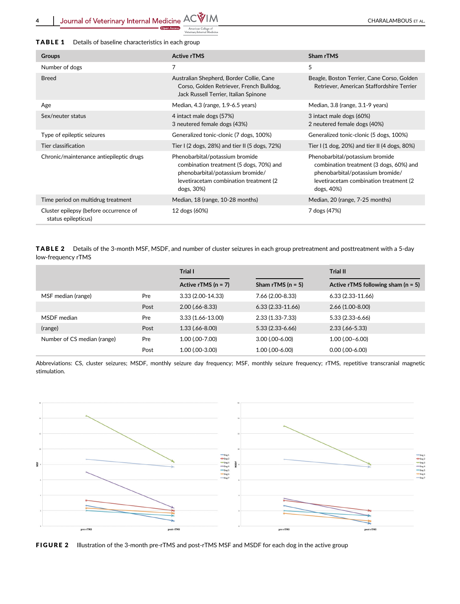4 Journal of Veterinary Internal Medicine  $ACV/M$ <br>
American Character of Accessor of Accessor of American Character of Accessor of Accessor of Accessor of Accessor of Accessor of Accessor of Accessor of Accessor of Accessor

| <b>Groups</b>                                                 | <b>Active rTMS</b>                                                                                                                                                      | Sham rTMS                                                                                                                                                               |
|---------------------------------------------------------------|-------------------------------------------------------------------------------------------------------------------------------------------------------------------------|-------------------------------------------------------------------------------------------------------------------------------------------------------------------------|
| Number of dogs                                                | 7                                                                                                                                                                       | 5                                                                                                                                                                       |
| <b>Breed</b>                                                  | Australian Shepherd, Border Collie, Cane<br>Corso, Golden Retriever, French Bulldog,<br>Jack Russell Terrier, Italian Spinone                                           | Beagle, Boston Terrier, Cane Corso, Golden<br>Retriever, American Staffordshire Terrier                                                                                 |
| Age                                                           | Median, 4.3 (range, 1.9-6.5 years)                                                                                                                                      | Median, 3.8 (range, 3.1-9 years)                                                                                                                                        |
| Sex/neuter status                                             | 4 intact male dogs (57%)<br>3 neutered female dogs (43%)                                                                                                                | 3 intact male dogs (60%)<br>2 neutered female dogs (40%)                                                                                                                |
| Type of epileptic seizures                                    | Generalized tonic-clonic (7 dogs, 100%)                                                                                                                                 | Generalized tonic-clonic (5 dogs, 100%)                                                                                                                                 |
| Tier classification                                           | Tier I (2 dogs, 28%) and tier II (5 dogs, 72%)                                                                                                                          | Tier I (1 dog, 20%) and tier II (4 dogs, 80%)                                                                                                                           |
| Chronic/maintenance antiepileptic drugs                       | Phenobarbital/potassium bromide<br>combination treatment (5 dogs, 70%) and<br>phenobarbital/potassium bromide/<br>levetiracetam combination treatment (2)<br>dogs, 30%) | Phenobarbital/potassium bromide<br>combination treatment (3 dogs, 60%) and<br>phenobarbital/potassium bromide/<br>levetiracetam combination treatment (2)<br>dogs, 40%) |
| Time period on multidrug treatment                            | Median, 18 (range, 10-28 months)                                                                                                                                        | Median, 20 (range, 7-25 months)                                                                                                                                         |
| Cluster epilepsy (before occurrence of<br>status epilepticus) | 12 dogs (60%)                                                                                                                                                           | 7 dogs (47%)                                                                                                                                                            |

TABLE 2 Details of the 3-month MSF, MSDF, and number of cluster seizures in each group pretreatment and posttreatment with a 5-day low-frequency rTMS

|                             |      | Trial I               |                     | Trial II                             |
|-----------------------------|------|-----------------------|---------------------|--------------------------------------|
|                             |      | Active rTMS $(n = 7)$ | Sham rTMS $(n = 5)$ | Active rTMS following sham $(n = 5)$ |
| MSF median (range)          | Pre  | $3.33(2.00-14.33)$    | 7.66 (2.00-8.33)    | $6.33(2.33-11.66)$                   |
|                             | Post | $2.00(.66 - 8.33)$    | $6.33(2.33-11.66)$  | $2.66(1.00-8.00)$                    |
| MSDF median                 | Pre  | $3.33(1.66 - 13.00)$  | $2.33(1.33 - 7.33)$ | $5.33(2.33-6.66)$                    |
| (range)                     | Post | $1.33(.66 - 8.00)$    | $5.33(2.33 - 6.66)$ | $2.33(.66 - 5.33)$                   |
| Number of CS median (range) | Pre  | $1.00$ (.00-7.00)     | $3.00(0.00-6.00)$   | $1.00(0.00 - 6.00)$                  |
|                             | Post | 1.00 (.00-3.00)       | $1.00$ (.00-6.00)   | $0.00$ (.00-6.00)                    |

Abbreviations: CS, cluster seizures; MSDF, monthly seizure day frequency; MSF, monthly seizure frequency; rTMS, repetitive transcranial magnetic stimulation.



FIGURE 2 Illustration of the 3-month pre-rTMS and post-rTMS MSF and MSDF for each dog in the active group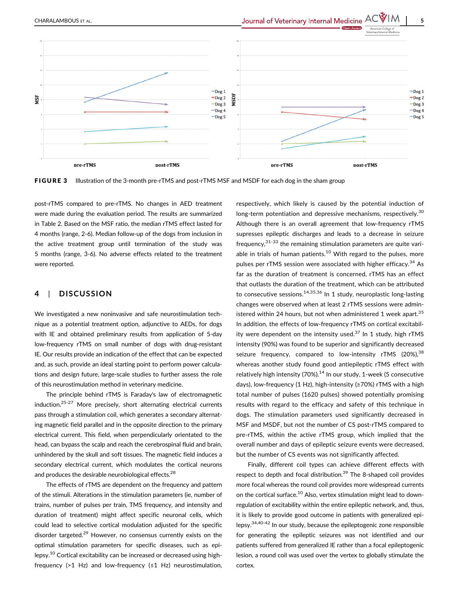

FIGURE 3 Illustration of the 3-month pre-rTMS and post-rTMS MSF and MSDF for each dog in the sham group

post-rTMS compared to pre-rTMS. No changes in AED treatment were made during the evaluation period. The results are summarized in Table 2. Based on the MSF ratio, the median rTMS effect lasted for 4 months (range, 2-6). Median follow-up of the dogs from inclusion in the active treatment group until termination of the study was 5 months (range, 3-6). No adverse effects related to the treatment were reported.

## 4 | DISCUSSION

We investigated a new noninvasive and safe neurostimulation technique as a potential treatment option, adjunctive to AEDs, for dogs with IE and obtained preliminary results from application of 5-day low-frequency rTMS on small number of dogs with drug-resistant IE. Our results provide an indication of the effect that can be expected and, as such, provide an ideal starting point to perform power calculations and design future, large-scale studies to further assess the role of this neurostimulation method in veterinary medicine.

The principle behind rTMS is Faraday's law of electromagnetic induction.25-27 More precisely, short alternating electrical currents pass through a stimulation coil, which generates a secondary alternating magnetic field parallel and in the opposite direction to the primary electrical current. This field, when perpendicularly orientated to the head, can bypass the scalp and reach the cerebrospinal fluid and brain, unhindered by the skull and soft tissues. The magnetic field induces a secondary electrical current, which modulates the cortical neurons and produces the desirable neurobiological effects.<sup>28</sup>

The effects of rTMS are dependent on the frequency and pattern of the stimuli. Alterations in the stimulation parameters (ie, number of trains, number of pulses per train, TMS frequency, and intensity and duration of treatment) might affect specific neuronal cells, which could lead to selective cortical modulation adjusted for the specific disorder targeted. $29$  However, no consensus currently exists on the optimal stimulation parameters for specific diseases, such as epilepsy.<sup>10</sup> Cortical excitability can be increased or decreased using highfrequency (>1 Hz) and low-frequency (≤1 Hz) neurostimulation,

respectively, which likely is caused by the potential induction of long-term potentiation and depressive mechanisms, respectively.<sup>30</sup> Although there is an overall agreement that low-frequency rTMS supresses epileptic discharges and leads to a decrease in seizure frequency,  $31-33$  the remaining stimulation parameters are quite variable in trials of human patients.<sup>10</sup> With regard to the pulses, more pulses per rTMS session were associated with higher efficacy.<sup>34</sup> As far as the duration of treatment is concerned, rTMS has an effect that outlasts the duration of the treatment, which can be attributed to consecutive sessions.<sup>14,35,36</sup> In 1 study, neuroplastic long-lasting changes were observed when at least 2 rTMS sessions were administered within 24 hours, but not when administered 1 week apart.<sup>35</sup> In addition, the effects of low-frequency rTMS on cortical excitability were dependent on the intensity used.<sup>37</sup> In 1 study, high rTMS intensity (90%) was found to be superior and significantly decreased seizure frequency, compared to low-intensity rTMS  $(20\%)$ <sup>38</sup> whereas another study found good antiepileptic rTMS effect with relatively high intensity (70%). $14$  In our study, 1-week (5 consecutive days), low-frequency (1 Hz), high-intensity (≥70%) rTMS with a high total number of pulses (1620 pulses) showed potentially promising results with regard to the efficacy and safety of this technique in dogs. The stimulation parameters used significantly decreased in MSF and MSDF, but not the number of CS post-rTMS compared to pre-rTMS, within the active rTMS group, which implied that the overall number and days of epileptic seizure events were decreased, but the number of CS events was not significantly affected.

Finally, different coil types can achieve different effects with respect to depth and focal distribution.<sup>39</sup> The 8-shaped coil provides more focal whereas the round coil provides more widespread currents on the cortical surface.<sup>10</sup> Also, vertex stimulation might lead to downregulation of excitability within the entire epileptic network, and, thus, it is likely to provide good outcome in patients with generalized epilepsy.34,40-42 In our study, because the epileptogenic zone responsible for generating the epileptic seizures was not identified and our patients suffered from generalized IE rather than a focal epileptogenic lesion, a round coil was used over the vertex to globally stimulate the cortex.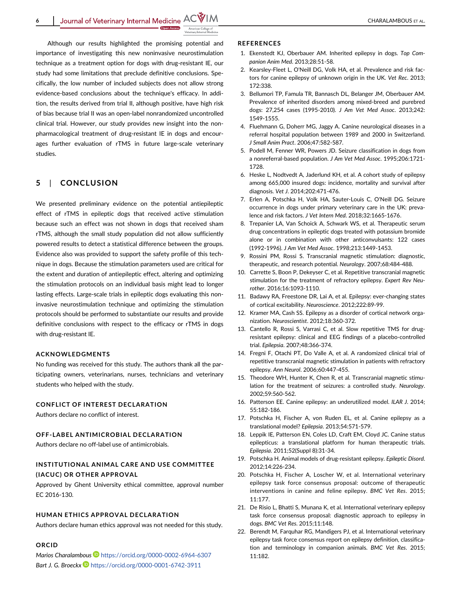Although our results highlighted the promising potential and importance of investigating this new noninvasive neurostimulation technique as a treatment option for dogs with drug-resistant IE, our study had some limitations that preclude definitive conclusions. Specifically, the low number of included subjects does not allow strong evidence-based conclusions about the technique's efficacy. In addition, the results derived from trial II, although positive, have high risk of bias because trial II was an open-label nonrandomized uncontrolled clinical trial. However, our study provides new insight into the nonpharmacological treatment of drug-resistant IE in dogs and encourages further evaluation of rTMS in future large-scale veterinary studies.

# 5 | CONCLUSION

We presented preliminary evidence on the potential antiepileptic effect of rTMS in epileptic dogs that received active stimulation because such an effect was not shown in dogs that received sham rTMS, although the small study population did not allow sufficiently powered results to detect a statistical difference between the groups. Evidence also was provided to support the safety profile of this technique in dogs. Because the stimulation parameters used are critical for the extent and duration of antiepileptic effect, altering and optimizing the stimulation protocols on an individual basis might lead to longer lasting effects. Large-scale trials in epileptic dogs evaluating this noninvasive neurostimulation technique and optimizing the stimulation protocols should be performed to substantiate our results and provide definitive conclusions with respect to the efficacy or rTMS in dogs with drug-resistant IE.

#### ACKNOWLEDGMENTS

No funding was received for this study. The authors thank all the participating owners, veterinarians, nurses, technicians and veterinary students who helped with the study.

#### CONFLICT OF INTEREST DECLARATION

Authors declare no conflict of interest.

#### OFF-LABEL ANTIMICROBIAL DECLARATION

Authors declare no off-label use of antimicrobials.

## INSTITUTIONAL ANIMAL CARE AND USE COMMITTEE (IACUC) OR OTHER APPROVAL

Approved by Ghent University ethical committee, approval number EC 2016-130.

#### HUMAN ETHICS APPROVAL DECLARATION

Authors declare human ethics approval was not needed for this study.

#### ORCID

Marios Charalambous <https://orcid.org/0000-0002-6964-6307> Bart J. G. Broeckx **b** <https://orcid.org/0000-0001-6742-3911>

#### **REFERENCES**

- 1. Ekenstedt KJ, Oberbauer AM. Inherited epilepsy in dogs. Top Companion Anim Med. 2013;28:51-58.
- 2. Kearsley-Fleet L, O'Neill DG, Volk HA, et al. Prevalence and risk factors for canine epilepsy of unknown origin in the UK. Vet Rec. 2013; 172:338.
- 3. Bellumori TP, Famula TR, Bannasch DL, Belanger JM, Oberbauer AM. Prevalence of inherited disorders among mixed-breed and purebred dogs: 27,254 cases (1995-2010). J Am Vet Med Assoc. 2013;242: 1549-1555.
- 4. Fluehmann G, Doherr MG, Jaggy A. Canine neurological diseases in a referral hospital population between 1989 and 2000 in Switzerland. J Small Anim Pract. 2006;47:582-587.
- 5. Podell M, Fenner WR, Powers JD. Seizure classification in dogs from a nonreferral-based population. J Am Vet Med Assoc. 1995;206:1721- 1728.
- 6. Heske L, Nodtvedt A, Jaderlund KH, et al. A cohort study of epilepsy among 665,000 insured dogs: incidence, mortality and survival after diagnosis. Vet J. 2014;202:471-476.
- 7. Erlen A, Potschka H, Volk HA, Sauter-Louis C, O'Neill DG. Seizure occurrence in dogs under primary veterinary care in the UK: prevalence and risk factors. J Vet Intern Med. 2018;32:1665-1676.
- 8. Trepanier LA, Van Schoick A, Schwark WS, et al. Therapeutic serum drug concentrations in epileptic dogs treated with potassium bromide alone or in combination with other anticonvulsants: 122 cases (1992-1996). J Am Vet Med Assoc. 1998;213:1449-1453.
- 9. Rossini PM, Rossi S. Transcranial magnetic stimulation: diagnostic, therapeutic, and research potential. Neurology. 2007;68:484-488.
- 10. Carrette S, Boon P, Dekeyser C, et al. Repetitive transcranial magnetic stimulation for the treatment of refractory epilepsy. Expert Rev Neurother. 2016;16:1093-1110.
- 11. Badawy RA, Freestone DR, Lai A, et al. Epilepsy: ever-changing states of cortical excitability. Neuroscience. 2012;222:89-99.
- 12. Kramer MA, Cash SS. Epilepsy as a disorder of cortical network organization. Neuroscientist. 2012;18:360-372.
- 13. Cantello R, Rossi S, Varrasi C, et al. Slow repetitive TMS for drugresistant epilepsy: clinical and EEG findings of a placebo-controlled trial. Epilepsia. 2007;48:366-374.
- 14. Fregni F, Otachi PT, Do Valle A, et al. A randomized clinical trial of repetitive transcranial magnetic stimulation in patients with refractory epilepsy. Ann Neurol. 2006;60:447-455.
- 15. Theodore WH, Hunter K, Chen R, et al. Transcranial magnetic stimulation for the treatment of seizures: a controlled study. Neurology. 2002;59:560-562.
- 16. Patterson EE. Canine epilepsy: an underutilized model. ILAR J. 2014; 55:182-186.
- 17. Potschka H, Fischer A, von Ruden EL, et al. Canine epilepsy as a translational model? Epilepsia. 2013;54:571-579.
- 18. Leppik IE, Patterson EN, Coles LD, Craft EM, Cloyd JC. Canine status epilepticus: a translational platform for human therapeutic trials. Epilepsia. 2011;52(Suppl 8):31-34.
- 19. Potschka H. Animal models of drug-resistant epilepsy. Epileptic Disord. 2012;14:226-234.
- 20. Potschka H, Fischer A, Loscher W, et al. International veterinary epilepsy task force consensus proposal: outcome of therapeutic interventions in canine and feline epilepsy. BMC Vet Res. 2015; 11:177.
- 21. De Risio L, Bhatti S, Munana K, et al. International veterinary epilepsy task force consensus proposal: diagnostic approach to epilepsy in dogs. BMC Vet Res. 2015;11:148.
- 22. Berendt M, Farquhar RG, Mandigers PJ, et al. International veterinary epilepsy task force consensus report on epilepsy definition, classification and terminology in companion animals. BMC Vet Res. 2015; 11:182.